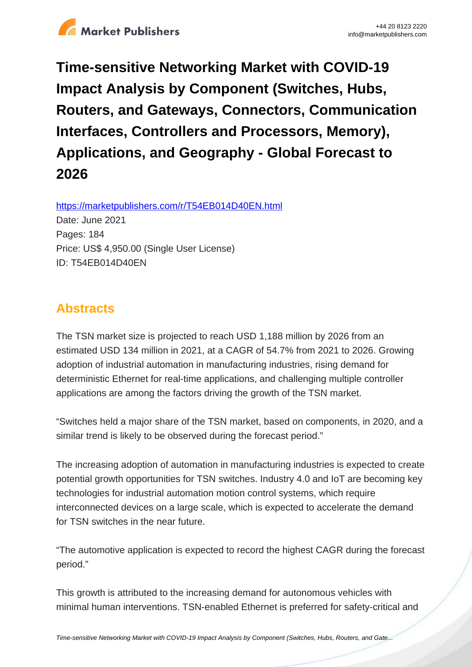

**Time-sensitive Networking Market with COVID-19 Impact Analysis by Component (Switches, Hubs, Routers, and Gateways, Connectors, Communication Interfaces, Controllers and Processors, Memory), Applications, and Geography - Global Forecast to 2026**

https://marketpublishers.com/r/T54EB014D40EN.html

Date: June 2021 Pages: 184 Price: US\$ 4,950.00 (Single User License) ID: T54EB014D40EN

# **Abstracts**

The TSN market size is projected to reach USD 1,188 million by 2026 from an estimated USD 134 million in 2021, at a CAGR of 54.7% from 2021 to 2026. Growing adoption of industrial automation in manufacturing industries, rising demand for deterministic Ethernet for real-time applications, and challenging multiple controller applications are among the factors driving the growth of the TSN market.

"Switches held a major share of the TSN market, based on components, in 2020, and a similar trend is likely to be observed during the forecast period."

The increasing adoption of automation in manufacturing industries is expected to create potential growth opportunities for TSN switches. Industry 4.0 and IoT are becoming key technologies for industrial automation motion control systems, which require interconnected devices on a large scale, which is expected to accelerate the demand for TSN switches in the near future.

"The automotive application is expected to record the highest CAGR during the forecast period."

This growth is attributed to the increasing demand for autonomous vehicles with minimal human interventions. TSN-enabled Ethernet is preferred for safety-critical and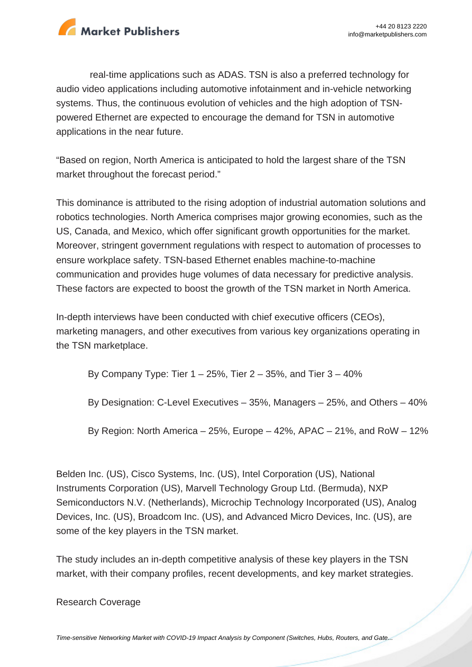

real-time applications such as ADAS. TSN is also a preferred technology for audio video applications including automotive infotainment and in-vehicle networking systems. Thus, the continuous evolution of vehicles and the high adoption of TSNpowered Ethernet are expected to encourage the demand for TSN in automotive applications in the near future.

"Based on region, North America is anticipated to hold the largest share of the TSN market throughout the forecast period."

This dominance is attributed to the rising adoption of industrial automation solutions and robotics technologies. North America comprises major growing economies, such as the US, Canada, and Mexico, which offer significant growth opportunities for the market. Moreover, stringent government regulations with respect to automation of processes to ensure workplace safety. TSN-based Ethernet enables machine-to-machine communication and provides huge volumes of data necessary for predictive analysis. These factors are expected to boost the growth of the TSN market in North America.

In-depth interviews have been conducted with chief executive officers (CEOs), marketing managers, and other executives from various key organizations operating in the TSN marketplace.

By Company Type: Tier  $1 - 25$ %, Tier  $2 - 35$ %, and Tier  $3 - 40$ %

By Designation: C-Level Executives – 35%, Managers – 25%, and Others – 40%

By Region: North America  $-25%$ , Europe  $-42%$ , APAC  $-21%$ , and RoW  $-12%$ 

Belden Inc. (US), Cisco Systems, Inc. (US), Intel Corporation (US), National Instruments Corporation (US), Marvell Technology Group Ltd. (Bermuda), NXP Semiconductors N.V. (Netherlands), Microchip Technology Incorporated (US), Analog Devices, Inc. (US), Broadcom Inc. (US), and Advanced Micro Devices, Inc. (US), are some of the key players in the TSN market.

The study includes an in-depth competitive analysis of these key players in the TSN market, with their company profiles, recent developments, and key market strategies.

Research Coverage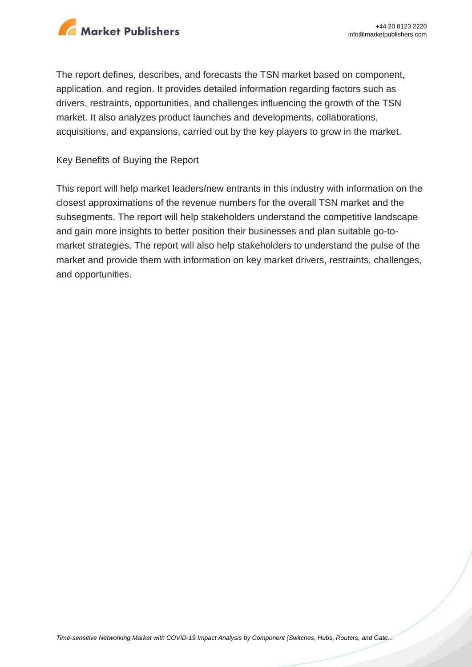

The report defines, describes, and forecasts the TSN market based on component, application, and region. It provides detailed information regarding factors such as drivers, restraints, opportunities, and challenges influencing the growth of the TSN market. It also analyzes product launches and developments, collaborations, acquisitions, and expansions, carried out by the key players to grow in the market.

#### Key Benefits of Buying the Report

This report will help market leaders/new entrants in this industry with information on the closest approximations of the revenue numbers for the overall TSN market and the subsegments. The report will help stakeholders understand the competitive landscape and gain more insights to better position their businesses and plan suitable go-tomarket strategies. The report will also help stakeholders to understand the pulse of the market and provide them with information on key market drivers, restraints, challenges, and opportunities.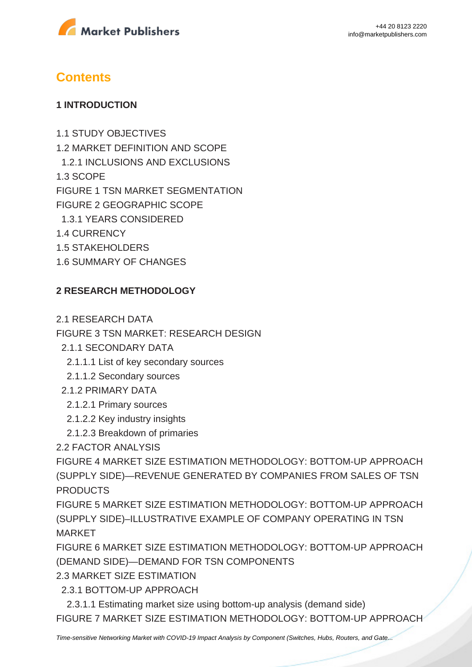

## **Contents**

#### **1 INTRODUCTION**

1.1 STUDY OBJECTIVES 1.2 MARKET DEFINITION AND SCOPE 1.2.1 INCLUSIONS AND EXCLUSIONS 1.3 SCOPE FIGURE 1 TSN MARKET SEGMENTATION FIGURE 2 GEOGRAPHIC SCOPE 1.3.1 YEARS CONSIDERED 1.4 CURRENCY 1.5 STAKEHOLDERS

1.6 SUMMARY OF CHANGES

#### **2 RESEARCH METHODOLOGY**

2.1 RESEARCH DATA

FIGURE 3 TSN MARKET: RESEARCH DESIGN

- 2.1.1 SECONDARY DATA
- 2.1.1.1 List of key secondary sources
- 2.1.1.2 Secondary sources
- 2.1.2 PRIMARY DATA
	- 2.1.2.1 Primary sources
	- 2.1.2.2 Key industry insights
	- 2.1.2.3 Breakdown of primaries
- 2.2 FACTOR ANALYSIS

FIGURE 4 MARKET SIZE ESTIMATION METHODOLOGY: BOTTOM-UP APPROACH (SUPPLY SIDE)—REVENUE GENERATED BY COMPANIES FROM SALES OF TSN PRODUCTS

FIGURE 5 MARKET SIZE ESTIMATION METHODOLOGY: BOTTOM-UP APPROACH (SUPPLY SIDE)–ILLUSTRATIVE EXAMPLE OF COMPANY OPERATING IN TSN MARKET

FIGURE 6 MARKET SIZE ESTIMATION METHODOLOGY: BOTTOM-UP APPROACH (DEMAND SIDE)—DEMAND FOR TSN COMPONENTS

2.3 MARKET SIZE ESTIMATION

2.3.1 BOTTOM-UP APPROACH

 2.3.1.1 Estimating market size using bottom-up analysis (demand side) FIGURE 7 MARKET SIZE ESTIMATION METHODOLOGY: BOTTOM-UP APPROACH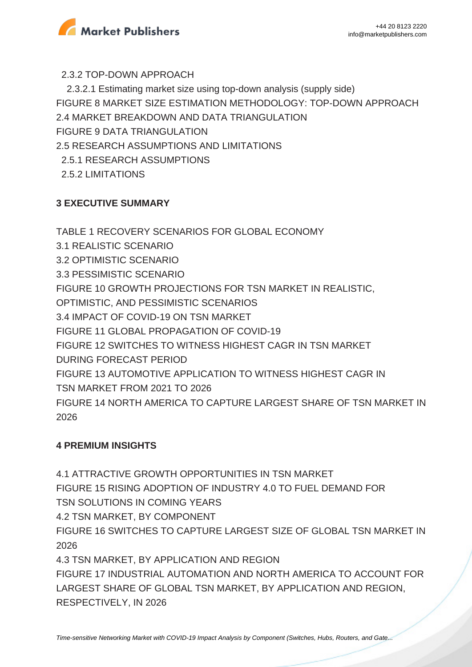

2.3.2 TOP-DOWN APPROACH

 2.3.2.1 Estimating market size using top-down analysis (supply side) FIGURE 8 MARKET SIZE ESTIMATION METHODOLOGY: TOP-DOWN APPROACH 2.4 MARKET BREAKDOWN AND DATA TRIANGULATION FIGURE 9 DATA TRIANGULATION 2.5 RESEARCH ASSUMPTIONS AND LIMITATIONS 2.5.1 RESEARCH ASSUMPTIONS 2.5.2 LIMITATIONS

## **3 EXECUTIVE SUMMARY**

TABLE 1 RECOVERY SCENARIOS FOR GLOBAL ECONOMY 3.1 REALISTIC SCENARIO 3.2 OPTIMISTIC SCENARIO 3.3 PESSIMISTIC SCENARIO FIGURE 10 GROWTH PROJECTIONS FOR TSN MARKET IN REALISTIC, OPTIMISTIC, AND PESSIMISTIC SCENARIOS 3.4 IMPACT OF COVID-19 ON TSN MARKET FIGURE 11 GLOBAL PROPAGATION OF COVID-19 FIGURE 12 SWITCHES TO WITNESS HIGHEST CAGR IN TSN MARKET DURING FORECAST PERIOD FIGURE 13 AUTOMOTIVE APPLICATION TO WITNESS HIGHEST CAGR IN TSN MARKET FROM 2021 TO 2026 FIGURE 14 NORTH AMERICA TO CAPTURE LARGEST SHARE OF TSN MARKET IN 2026

### **4 PREMIUM INSIGHTS**

4.1 ATTRACTIVE GROWTH OPPORTUNITIES IN TSN MARKET FIGURE 15 RISING ADOPTION OF INDUSTRY 4.0 TO FUEL DEMAND FOR TSN SOLUTIONS IN COMING YEARS 4.2 TSN MARKET, BY COMPONENT FIGURE 16 SWITCHES TO CAPTURE LARGEST SIZE OF GLOBAL TSN MARKET IN 2026 4.3 TSN MARKET, BY APPLICATION AND REGION FIGURE 17 INDUSTRIAL AUTOMATION AND NORTH AMERICA TO ACCOUNT FOR LARGEST SHARE OF GLOBAL TSN MARKET, BY APPLICATION AND REGION, RESPECTIVELY, IN 2026

[Time-sensitive Networking Market with COVID-19 Impact Analysis by Component \(Switches, Hubs, Routers, and Gate...](https://marketpublishers.com/report/equipment/time-sensitive-networking-market-by-component.html)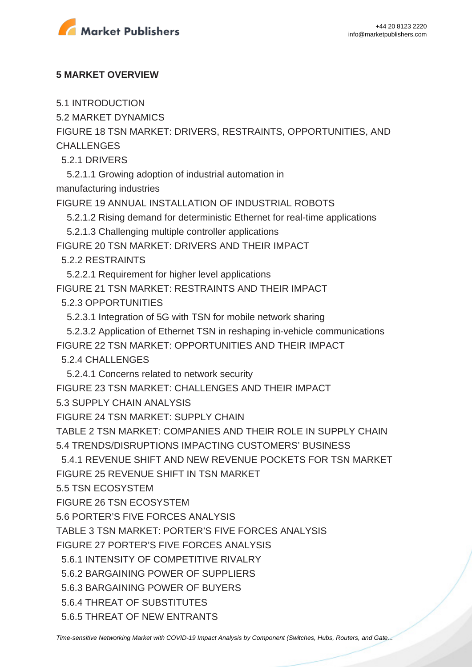

#### **5 MARKET OVERVIEW**

5.1 INTRODUCTION

5.2 MARKET DYNAMICS

FIGURE 18 TSN MARKET: DRIVERS, RESTRAINTS, OPPORTUNITIES, AND **CHALLENGES** 

5.2.1 DRIVERS

5.2.1.1 Growing adoption of industrial automation in

manufacturing industries

FIGURE 19 ANNUAL INSTALLATION OF INDUSTRIAL ROBOTS

5.2.1.2 Rising demand for deterministic Ethernet for real-time applications

5.2.1.3 Challenging multiple controller applications

FIGURE 20 TSN MARKET: DRIVERS AND THEIR IMPACT

5.2.2 RESTRAINTS

5.2.2.1 Requirement for higher level applications

FIGURE 21 TSN MARKET: RESTRAINTS AND THEIR IMPACT

5.2.3 OPPORTUNITIES

5.2.3.1 Integration of 5G with TSN for mobile network sharing

5.2.3.2 Application of Ethernet TSN in reshaping in-vehicle communications

FIGURE 22 TSN MARKET: OPPORTUNITIES AND THEIR IMPACT

5.2.4 CHALLENGES

5.2.4.1 Concerns related to network security

FIGURE 23 TSN MARKET: CHALLENGES AND THEIR IMPACT

5.3 SUPPLY CHAIN ANALYSIS

FIGURE 24 TSN MARKET: SUPPLY CHAIN

TABLE 2 TSN MARKET: COMPANIES AND THEIR ROLE IN SUPPLY CHAIN

5.4 TRENDS/DISRUPTIONS IMPACTING CUSTOMERS' BUSINESS

5.4.1 REVENUE SHIFT AND NEW REVENUE POCKETS FOR TSN MARKET

FIGURE 25 REVENUE SHIFT IN TSN MARKET

5.5 TSN ECOSYSTEM

FIGURE 26 TSN ECOSYSTEM

5.6 PORTER'S FIVE FORCES ANALYSIS

TABLE 3 TSN MARKET: PORTER'S FIVE FORCES ANALYSIS

FIGURE 27 PORTER'S FIVE FORCES ANALYSIS

5.6.1 INTENSITY OF COMPETITIVE RIVALRY

5.6.2 BARGAINING POWER OF SUPPLIERS

5.6.3 BARGAINING POWER OF BUYERS

5.6.4 THREAT OF SUBSTITUTES

5.6.5 THREAT OF NEW ENTRANTS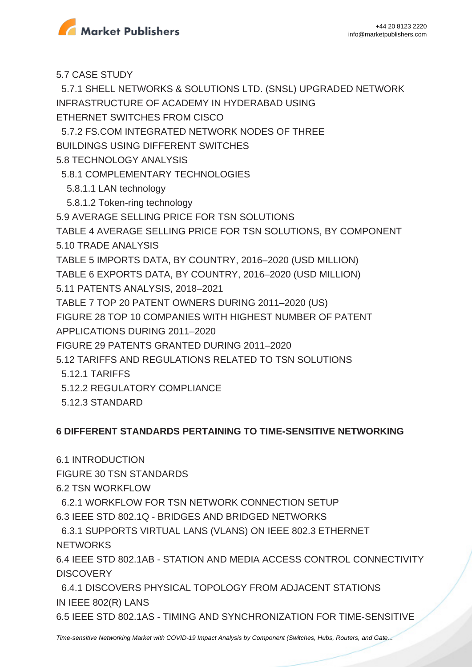

5.7 CASE STUDY

 5.7.1 SHELL NETWORKS & SOLUTIONS LTD. (SNSL) UPGRADED NETWORK INFRASTRUCTURE OF ACADEMY IN HYDERABAD USING ETHERNET SWITCHES FROM CISCO

5.7.2 FS.COM INTEGRATED NETWORK NODES OF THREE

BUILDINGS USING DIFFERENT SWITCHES

5.8 TECHNOLOGY ANALYSIS

5.8.1 COMPLEMENTARY TECHNOLOGIES

5.8.1.1 LAN technology

5.8.1.2 Token-ring technology

5.9 AVERAGE SELLING PRICE FOR TSN SOLUTIONS

TABLE 4 AVERAGE SELLING PRICE FOR TSN SOLUTIONS, BY COMPONENT 5.10 TRADE ANALYSIS

TABLE 5 IMPORTS DATA, BY COUNTRY, 2016–2020 (USD MILLION)

TABLE 6 EXPORTS DATA, BY COUNTRY, 2016–2020 (USD MILLION)

5.11 PATENTS ANALYSIS, 2018–2021

TABLE 7 TOP 20 PATENT OWNERS DURING 2011–2020 (US)

FIGURE 28 TOP 10 COMPANIES WITH HIGHEST NUMBER OF PATENT

APPLICATIONS DURING 2011–2020

FIGURE 29 PATENTS GRANTED DURING 2011–2020

5.12 TARIFFS AND REGULATIONS RELATED TO TSN SOLUTIONS

5.12.1 TARIFFS

5.12.2 REGULATORY COMPLIANCE

5.12.3 STANDARD

### **6 DIFFERENT STANDARDS PERTAINING TO TIME-SENSITIVE NETWORKING**

6.1 INTRODUCTION

FIGURE 30 TSN STANDARDS

6.2 TSN WORKFLOW

6.2.1 WORKFLOW FOR TSN NETWORK CONNECTION SETUP

6.3 IEEE STD 802.1Q - BRIDGES AND BRIDGED NETWORKS

 6.3.1 SUPPORTS VIRTUAL LANS (VLANS) ON IEEE 802.3 ETHERNET **NETWORKS** 

6.4 IEEE STD 802.1AB - STATION AND MEDIA ACCESS CONTROL CONNECTIVITY **DISCOVERY** 

 6.4.1 DISCOVERS PHYSICAL TOPOLOGY FROM ADJACENT STATIONS IN IEEE 802(R) LANS

6.5 IEEE STD 802.1AS - TIMING AND SYNCHRONIZATION FOR TIME-SENSITIVE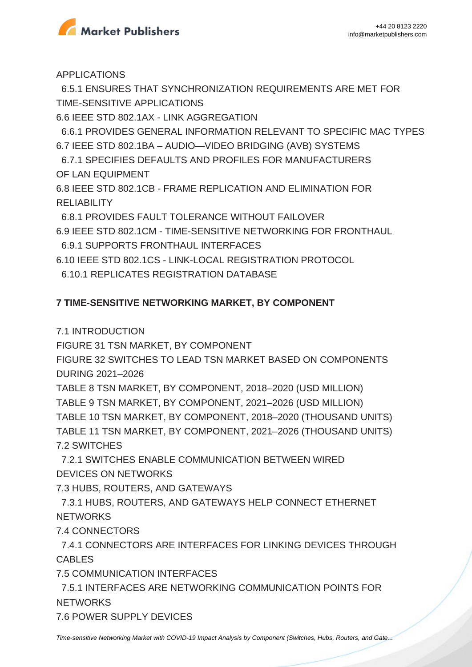

APPLICATIONS

 6.5.1 ENSURES THAT SYNCHRONIZATION REQUIREMENTS ARE MET FOR TIME-SENSITIVE APPLICATIONS

6.6 IEEE STD 802.1AX - LINK AGGREGATION

 6.6.1 PROVIDES GENERAL INFORMATION RELEVANT TO SPECIFIC MAC TYPES 6.7 IEEE STD 802.1BA – AUDIO—VIDEO BRIDGING (AVB) SYSTEMS

 6.7.1 SPECIFIES DEFAULTS AND PROFILES FOR MANUFACTURERS OF LAN EQUIPMENT

6.8 IEEE STD 802.1CB - FRAME REPLICATION AND ELIMINATION FOR **RELIABILITY** 

6.8.1 PROVIDES FAULT TOLERANCE WITHOUT FAILOVER

6.9 IEEE STD 802.1CM - TIME-SENSITIVE NETWORKING FOR FRONTHAUL

6.9.1 SUPPORTS FRONTHAUL INTERFACES

6.10 IEEE STD 802.1CS - LINK-LOCAL REGISTRATION PROTOCOL

6.10.1 REPLICATES REGISTRATION DATABASE

## **7 TIME-SENSITIVE NETWORKING MARKET, BY COMPONENT**

7.1 INTRODUCTION

FIGURE 31 TSN MARKET, BY COMPONENT

FIGURE 32 SWITCHES TO LEAD TSN MARKET BASED ON COMPONENTS DURING 2021–2026

TABLE 8 TSN MARKET, BY COMPONENT, 2018–2020 (USD MILLION)

TABLE 9 TSN MARKET, BY COMPONENT, 2021–2026 (USD MILLION)

TABLE 10 TSN MARKET, BY COMPONENT, 2018–2020 (THOUSAND UNITS)

TABLE 11 TSN MARKET, BY COMPONENT, 2021–2026 (THOUSAND UNITS) 7.2 SWITCHES

 7.2.1 SWITCHES ENABLE COMMUNICATION BETWEEN WIRED DEVICES ON NETWORKS

7.3 HUBS, ROUTERS, AND GATEWAYS

 7.3.1 HUBS, ROUTERS, AND GATEWAYS HELP CONNECT ETHERNET **NETWORKS** 

7.4 CONNECTORS

 7.4.1 CONNECTORS ARE INTERFACES FOR LINKING DEVICES THROUGH CABLES

7.5 COMMUNICATION INTERFACES

 7.5.1 INTERFACES ARE NETWORKING COMMUNICATION POINTS FOR **NETWORKS** 

7.6 POWER SUPPLY DEVICES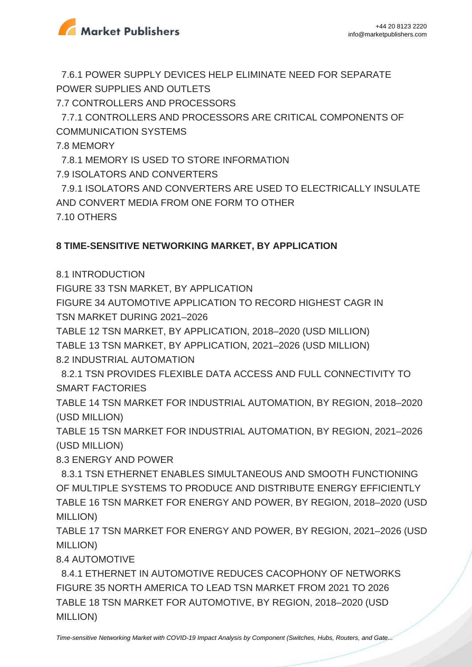

 7.6.1 POWER SUPPLY DEVICES HELP ELIMINATE NEED FOR SEPARATE POWER SUPPLIES AND OUTLETS

7.7 CONTROLLERS AND PROCESSORS

 7.7.1 CONTROLLERS AND PROCESSORS ARE CRITICAL COMPONENTS OF COMMUNICATION SYSTEMS

7.8 MEMORY

7.8.1 MEMORY IS USED TO STORE INFORMATION

7.9 ISOLATORS AND CONVERTERS

 7.9.1 ISOLATORS AND CONVERTERS ARE USED TO ELECTRICALLY INSULATE AND CONVERT MEDIA FROM ONE FORM TO OTHER 7.10 OTHERS

### **8 TIME-SENSITIVE NETWORKING MARKET, BY APPLICATION**

8.1 INTRODUCTION

FIGURE 33 TSN MARKET, BY APPLICATION

FIGURE 34 AUTOMOTIVE APPLICATION TO RECORD HIGHEST CAGR IN TSN MARKET DURING 2021–2026

TABLE 12 TSN MARKET, BY APPLICATION, 2018–2020 (USD MILLION)

TABLE 13 TSN MARKET, BY APPLICATION, 2021–2026 (USD MILLION) 8.2 INDUSTRIAL AUTOMATION

 8.2.1 TSN PROVIDES FLEXIBLE DATA ACCESS AND FULL CONNECTIVITY TO SMART FACTORIES

TABLE 14 TSN MARKET FOR INDUSTRIAL AUTOMATION, BY REGION, 2018–2020 (USD MILLION)

TABLE 15 TSN MARKET FOR INDUSTRIAL AUTOMATION, BY REGION, 2021–2026 (USD MILLION)

8.3 ENERGY AND POWER

 8.3.1 TSN ETHERNET ENABLES SIMULTANEOUS AND SMOOTH FUNCTIONING OF MULTIPLE SYSTEMS TO PRODUCE AND DISTRIBUTE ENERGY EFFICIENTLY TABLE 16 TSN MARKET FOR ENERGY AND POWER, BY REGION, 2018–2020 (USD MILLION)

TABLE 17 TSN MARKET FOR ENERGY AND POWER, BY REGION, 2021–2026 (USD MILLION)

8.4 AUTOMOTIVE

 8.4.1 ETHERNET IN AUTOMOTIVE REDUCES CACOPHONY OF NETWORKS FIGURE 35 NORTH AMERICA TO LEAD TSN MARKET FROM 2021 TO 2026 TABLE 18 TSN MARKET FOR AUTOMOTIVE, BY REGION, 2018–2020 (USD MILLION)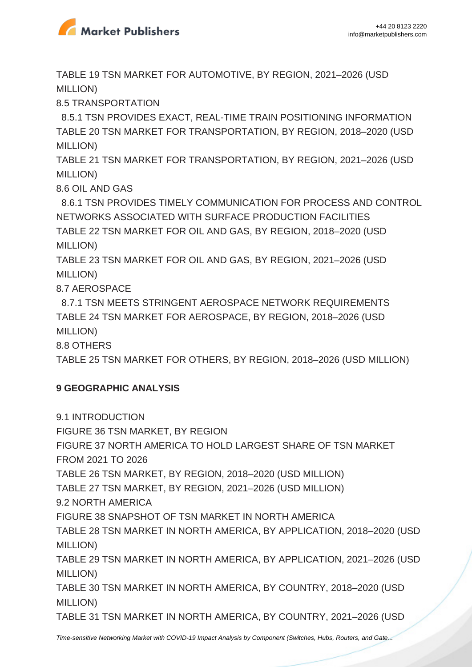

TABLE 19 TSN MARKET FOR AUTOMOTIVE, BY REGION, 2021–2026 (USD MILLION)

8.5 TRANSPORTATION

 8.5.1 TSN PROVIDES EXACT, REAL-TIME TRAIN POSITIONING INFORMATION TABLE 20 TSN MARKET FOR TRANSPORTATION, BY REGION, 2018–2020 (USD MILLION)

TABLE 21 TSN MARKET FOR TRANSPORTATION, BY REGION, 2021–2026 (USD MILLION)

8.6 OIL AND GAS

 8.6.1 TSN PROVIDES TIMELY COMMUNICATION FOR PROCESS AND CONTROL NETWORKS ASSOCIATED WITH SURFACE PRODUCTION FACILITIES TABLE 22 TSN MARKET FOR OIL AND GAS, BY REGION, 2018–2020 (USD MILLION)

TABLE 23 TSN MARKET FOR OIL AND GAS, BY REGION, 2021–2026 (USD MILLION)

8.7 AEROSPACE

 8.7.1 TSN MEETS STRINGENT AEROSPACE NETWORK REQUIREMENTS TABLE 24 TSN MARKET FOR AEROSPACE, BY REGION, 2018–2026 (USD MILLION)

8.8 OTHERS

TABLE 25 TSN MARKET FOR OTHERS, BY REGION, 2018–2026 (USD MILLION)

#### **9 GEOGRAPHIC ANALYSIS**

9.1 INTRODUCTION

FIGURE 36 TSN MARKET, BY REGION

FIGURE 37 NORTH AMERICA TO HOLD LARGEST SHARE OF TSN MARKET

FROM 2021 TO 2026

TABLE 26 TSN MARKET, BY REGION, 2018–2020 (USD MILLION)

TABLE 27 TSN MARKET, BY REGION, 2021–2026 (USD MILLION)

9.2 NORTH AMERICA

FIGURE 38 SNAPSHOT OF TSN MARKET IN NORTH AMERICA

TABLE 28 TSN MARKET IN NORTH AMERICA, BY APPLICATION, 2018–2020 (USD MILLION)

TABLE 29 TSN MARKET IN NORTH AMERICA, BY APPLICATION, 2021–2026 (USD MILLION)

TABLE 30 TSN MARKET IN NORTH AMERICA, BY COUNTRY, 2018–2020 (USD MILLION)

TABLE 31 TSN MARKET IN NORTH AMERICA, BY COUNTRY, 2021–2026 (USD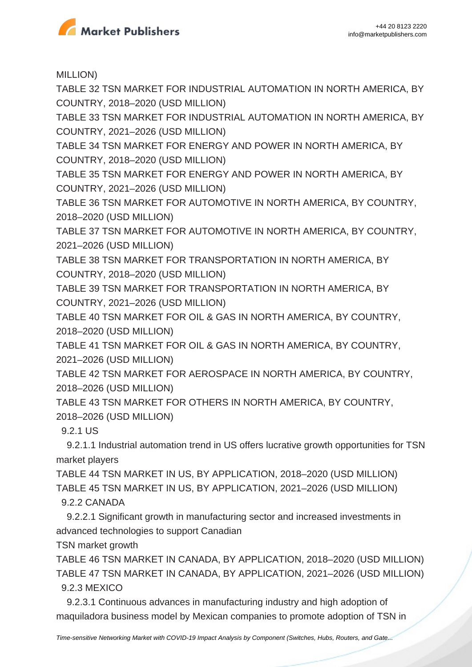

MILLION)

TABLE 32 TSN MARKET FOR INDUSTRIAL AUTOMATION IN NORTH AMERICA, BY COUNTRY, 2018–2020 (USD MILLION)

TABLE 33 TSN MARKET FOR INDUSTRIAL AUTOMATION IN NORTH AMERICA, BY COUNTRY, 2021–2026 (USD MILLION)

TABLE 34 TSN MARKET FOR ENERGY AND POWER IN NORTH AMERICA, BY COUNTRY, 2018–2020 (USD MILLION)

TABLE 35 TSN MARKET FOR ENERGY AND POWER IN NORTH AMERICA, BY COUNTRY, 2021–2026 (USD MILLION)

TABLE 36 TSN MARKET FOR AUTOMOTIVE IN NORTH AMERICA, BY COUNTRY, 2018–2020 (USD MILLION)

TABLE 37 TSN MARKET FOR AUTOMOTIVE IN NORTH AMERICA, BY COUNTRY, 2021–2026 (USD MILLION)

TABLE 38 TSN MARKET FOR TRANSPORTATION IN NORTH AMERICA, BY COUNTRY, 2018–2020 (USD MILLION)

TABLE 39 TSN MARKET FOR TRANSPORTATION IN NORTH AMERICA, BY COUNTRY, 2021–2026 (USD MILLION)

TABLE 40 TSN MARKET FOR OIL & GAS IN NORTH AMERICA, BY COUNTRY, 2018–2020 (USD MILLION)

TABLE 41 TSN MARKET FOR OIL & GAS IN NORTH AMERICA, BY COUNTRY, 2021–2026 (USD MILLION)

TABLE 42 TSN MARKET FOR AEROSPACE IN NORTH AMERICA, BY COUNTRY, 2018–2026 (USD MILLION)

TABLE 43 TSN MARKET FOR OTHERS IN NORTH AMERICA, BY COUNTRY, 2018–2026 (USD MILLION)

9.2.1 US

 9.2.1.1 Industrial automation trend in US offers lucrative growth opportunities for TSN market players

TABLE 44 TSN MARKET IN US, BY APPLICATION, 2018–2020 (USD MILLION) TABLE 45 TSN MARKET IN US, BY APPLICATION, 2021–2026 (USD MILLION) 9.2.2 CANADA

 9.2.2.1 Significant growth in manufacturing sector and increased investments in advanced technologies to support Canadian

TSN market growth

TABLE 46 TSN MARKET IN CANADA, BY APPLICATION, 2018–2020 (USD MILLION) TABLE 47 TSN MARKET IN CANADA, BY APPLICATION, 2021–2026 (USD MILLION) 9.2.3 MEXICO

 9.2.3.1 Continuous advances in manufacturing industry and high adoption of maquiladora business model by Mexican companies to promote adoption of TSN in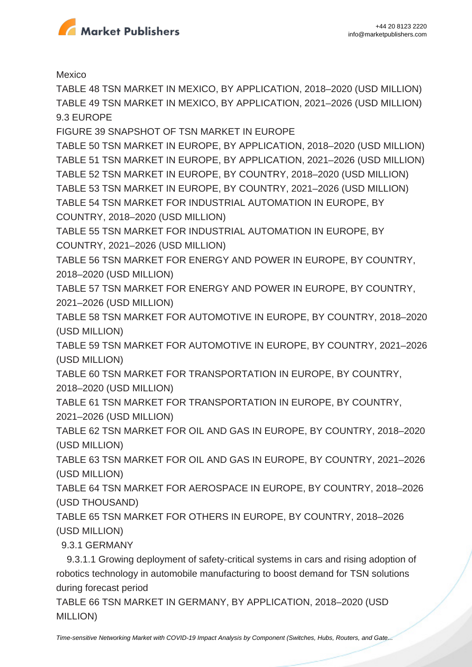

Mexico

TABLE 48 TSN MARKET IN MEXICO, BY APPLICATION, 2018–2020 (USD MILLION) TABLE 49 TSN MARKET IN MEXICO, BY APPLICATION, 2021–2026 (USD MILLION) 9.3 EUROPE

FIGURE 39 SNAPSHOT OF TSN MARKET IN EUROPE

TABLE 50 TSN MARKET IN EUROPE, BY APPLICATION, 2018–2020 (USD MILLION) TABLE 51 TSN MARKET IN EUROPE, BY APPLICATION, 2021–2026 (USD MILLION) TABLE 52 TSN MARKET IN EUROPE, BY COUNTRY, 2018–2020 (USD MILLION) TABLE 53 TSN MARKET IN EUROPE, BY COUNTRY, 2021–2026 (USD MILLION) TABLE 54 TSN MARKET FOR INDUSTRIAL AUTOMATION IN EUROPE, BY COUNTRY, 2018–2020 (USD MILLION)

TABLE 55 TSN MARKET FOR INDUSTRIAL AUTOMATION IN EUROPE, BY COUNTRY, 2021–2026 (USD MILLION)

TABLE 56 TSN MARKET FOR ENERGY AND POWER IN EUROPE, BY COUNTRY, 2018–2020 (USD MILLION)

TABLE 57 TSN MARKET FOR ENERGY AND POWER IN EUROPE, BY COUNTRY, 2021–2026 (USD MILLION)

TABLE 58 TSN MARKET FOR AUTOMOTIVE IN EUROPE, BY COUNTRY, 2018–2020 (USD MILLION)

TABLE 59 TSN MARKET FOR AUTOMOTIVE IN EUROPE, BY COUNTRY, 2021–2026 (USD MILLION)

TABLE 60 TSN MARKET FOR TRANSPORTATION IN EUROPE, BY COUNTRY, 2018–2020 (USD MILLION)

TABLE 61 TSN MARKET FOR TRANSPORTATION IN EUROPE, BY COUNTRY, 2021–2026 (USD MILLION)

TABLE 62 TSN MARKET FOR OIL AND GAS IN EUROPE, BY COUNTRY, 2018–2020 (USD MILLION)

TABLE 63 TSN MARKET FOR OIL AND GAS IN EUROPE, BY COUNTRY, 2021–2026 (USD MILLION)

TABLE 64 TSN MARKET FOR AEROSPACE IN EUROPE, BY COUNTRY, 2018–2026 (USD THOUSAND)

TABLE 65 TSN MARKET FOR OTHERS IN EUROPE, BY COUNTRY, 2018–2026 (USD MILLION)

9.3.1 GERMANY

 9.3.1.1 Growing deployment of safety-critical systems in cars and rising adoption of robotics technology in automobile manufacturing to boost demand for TSN solutions during forecast period

TABLE 66 TSN MARKET IN GERMANY, BY APPLICATION, 2018–2020 (USD MILLION)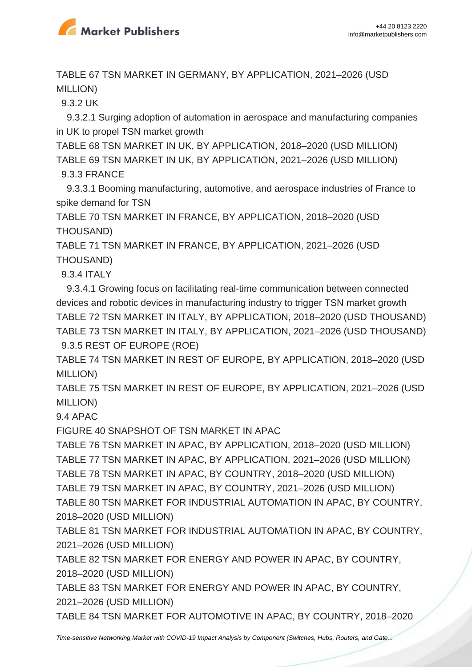

TABLE 67 TSN MARKET IN GERMANY, BY APPLICATION, 2021–2026 (USD MILLION)

9.3.2 UK

 9.3.2.1 Surging adoption of automation in aerospace and manufacturing companies in UK to propel TSN market growth

TABLE 68 TSN MARKET IN UK, BY APPLICATION, 2018–2020 (USD MILLION) TABLE 69 TSN MARKET IN UK, BY APPLICATION, 2021–2026 (USD MILLION)

9.3.3 FRANCE

 9.3.3.1 Booming manufacturing, automotive, and aerospace industries of France to spike demand for TSN

TABLE 70 TSN MARKET IN FRANCE, BY APPLICATION, 2018–2020 (USD THOUSAND)

TABLE 71 TSN MARKET IN FRANCE, BY APPLICATION, 2021–2026 (USD THOUSAND)

9.3.4 ITALY

 9.3.4.1 Growing focus on facilitating real-time communication between connected devices and robotic devices in manufacturing industry to trigger TSN market growth TABLE 72 TSN MARKET IN ITALY, BY APPLICATION, 2018–2020 (USD THOUSAND) TABLE 73 TSN MARKET IN ITALY, BY APPLICATION, 2021–2026 (USD THOUSAND)

9.3.5 REST OF EUROPE (ROE)

TABLE 74 TSN MARKET IN REST OF EUROPE, BY APPLICATION, 2018–2020 (USD MILLION)

TABLE 75 TSN MARKET IN REST OF EUROPE, BY APPLICATION, 2021–2026 (USD MILLION)

9.4 APAC

FIGURE 40 SNAPSHOT OF TSN MARKET IN APAC

TABLE 76 TSN MARKET IN APAC, BY APPLICATION, 2018–2020 (USD MILLION) TABLE 77 TSN MARKET IN APAC, BY APPLICATION, 2021–2026 (USD MILLION) TABLE 78 TSN MARKET IN APAC, BY COUNTRY, 2018–2020 (USD MILLION) TABLE 79 TSN MARKET IN APAC, BY COUNTRY, 2021–2026 (USD MILLION) TABLE 80 TSN MARKET FOR INDUSTRIAL AUTOMATION IN APAC, BY COUNTRY, 2018–2020 (USD MILLION)

TABLE 81 TSN MARKET FOR INDUSTRIAL AUTOMATION IN APAC, BY COUNTRY, 2021–2026 (USD MILLION)

TABLE 82 TSN MARKET FOR ENERGY AND POWER IN APAC, BY COUNTRY, 2018–2020 (USD MILLION)

TABLE 83 TSN MARKET FOR ENERGY AND POWER IN APAC, BY COUNTRY, 2021–2026 (USD MILLION)

TABLE 84 TSN MARKET FOR AUTOMOTIVE IN APAC, BY COUNTRY, 2018–2020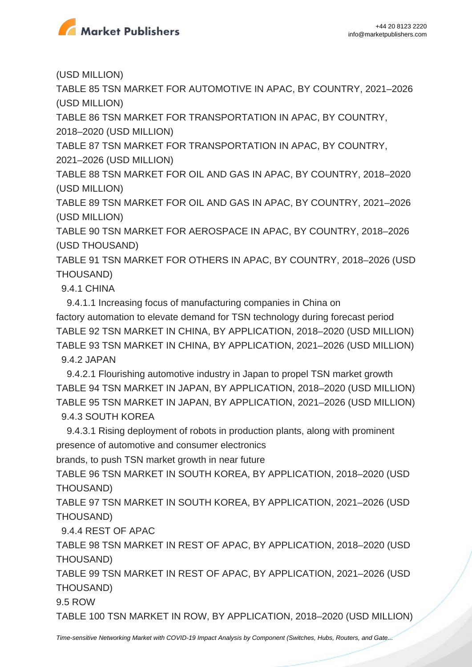

(USD MILLION)

TABLE 85 TSN MARKET FOR AUTOMOTIVE IN APAC, BY COUNTRY, 2021–2026 (USD MILLION)

TABLE 86 TSN MARKET FOR TRANSPORTATION IN APAC, BY COUNTRY, 2018–2020 (USD MILLION)

TABLE 87 TSN MARKET FOR TRANSPORTATION IN APAC, BY COUNTRY, 2021–2026 (USD MILLION)

TABLE 88 TSN MARKET FOR OIL AND GAS IN APAC, BY COUNTRY, 2018–2020 (USD MILLION)

TABLE 89 TSN MARKET FOR OIL AND GAS IN APAC, BY COUNTRY, 2021–2026 (USD MILLION)

TABLE 90 TSN MARKET FOR AEROSPACE IN APAC, BY COUNTRY, 2018–2026 (USD THOUSAND)

TABLE 91 TSN MARKET FOR OTHERS IN APAC, BY COUNTRY, 2018–2026 (USD THOUSAND)

9.4.1 CHINA

 9.4.1.1 Increasing focus of manufacturing companies in China on factory automation to elevate demand for TSN technology during forecast period TABLE 92 TSN MARKET IN CHINA, BY APPLICATION, 2018–2020 (USD MILLION) TABLE 93 TSN MARKET IN CHINA, BY APPLICATION, 2021–2026 (USD MILLION) 9.4.2 JAPAN

 9.4.2.1 Flourishing automotive industry in Japan to propel TSN market growth TABLE 94 TSN MARKET IN JAPAN, BY APPLICATION, 2018–2020 (USD MILLION) TABLE 95 TSN MARKET IN JAPAN, BY APPLICATION, 2021–2026 (USD MILLION) 9.4.3 SOUTH KOREA

 9.4.3.1 Rising deployment of robots in production plants, along with prominent presence of automotive and consumer electronics

brands, to push TSN market growth in near future

TABLE 96 TSN MARKET IN SOUTH KOREA, BY APPLICATION, 2018–2020 (USD THOUSAND)

TABLE 97 TSN MARKET IN SOUTH KOREA, BY APPLICATION, 2021–2026 (USD THOUSAND)

9.4.4 REST OF APAC

TABLE 98 TSN MARKET IN REST OF APAC, BY APPLICATION, 2018–2020 (USD THOUSAND)

TABLE 99 TSN MARKET IN REST OF APAC, BY APPLICATION, 2021–2026 (USD THOUSAND)

9.5 ROW

TABLE 100 TSN MARKET IN ROW, BY APPLICATION, 2018–2020 (USD MILLION)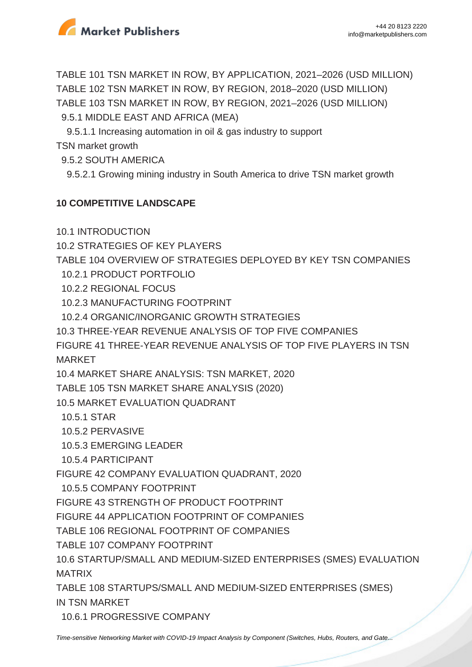

TABLE 101 TSN MARKET IN ROW, BY APPLICATION, 2021–2026 (USD MILLION) TABLE 102 TSN MARKET IN ROW, BY REGION, 2018–2020 (USD MILLION) TABLE 103 TSN MARKET IN ROW, BY REGION, 2021–2026 (USD MILLION)

9.5.1 MIDDLE EAST AND AFRICA (MEA)

 9.5.1.1 Increasing automation in oil & gas industry to support TSN market growth

9.5.2 SOUTH AMERICA

9.5.2.1 Growing mining industry in South America to drive TSN market growth

## **10 COMPETITIVE LANDSCAPE**

10.1 INTRODUCTION

10.2 STRATEGIES OF KEY PLAYERS

TABLE 104 OVERVIEW OF STRATEGIES DEPLOYED BY KEY TSN COMPANIES

- 10.2.1 PRODUCT PORTFOLIO
- 10.2.2 REGIONAL FOCUS
- 10.2.3 MANUFACTURING FOOTPRINT
- 10.2.4 ORGANIC/INORGANIC GROWTH STRATEGIES
- 10.3 THREE-YEAR REVENUE ANALYSIS OF TOP FIVE COMPANIES

FIGURE 41 THREE-YEAR REVENUE ANALYSIS OF TOP FIVE PLAYERS IN TSN MARKET

10.4 MARKET SHARE ANALYSIS: TSN MARKET, 2020

TABLE 105 TSN MARKET SHARE ANALYSIS (2020)

10.5 MARKET EVALUATION QUADRANT

- 10.5.1 STAR
- 10.5.2 PERVASIVE
- 10.5.3 EMERGING LEADER
- 10.5.4 PARTICIPANT

FIGURE 42 COMPANY EVALUATION QUADRANT, 2020

10.5.5 COMPANY FOOTPRINT

FIGURE 43 STRENGTH OF PRODUCT FOOTPRINT

FIGURE 44 APPLICATION FOOTPRINT OF COMPANIES

TABLE 106 REGIONAL FOOTPRINT OF COMPANIES

TABLE 107 COMPANY FOOTPRINT

10.6 STARTUP/SMALL AND MEDIUM-SIZED ENTERPRISES (SMES) EVALUATION MATRIX

TABLE 108 STARTUPS/SMALL AND MEDIUM-SIZED ENTERPRISES (SMES) IN TSN MARKET

10.6.1 PROGRESSIVE COMPANY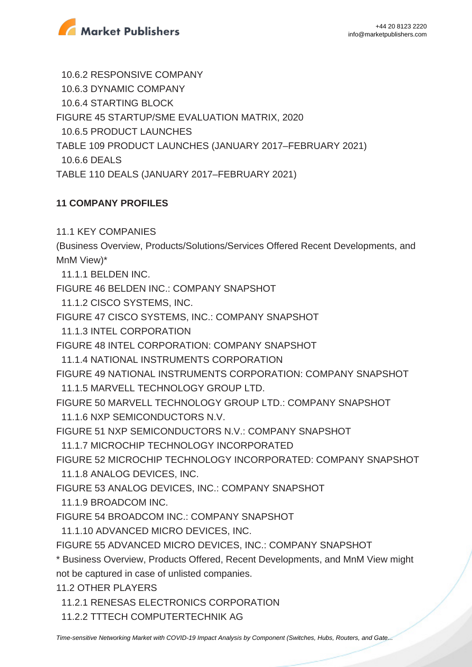

 10.6.2 RESPONSIVE COMPANY 10.6.3 DYNAMIC COMPANY 10.6.4 STARTING BLOCK FIGURE 45 STARTUP/SME EVALUATION MATRIX, 2020 10.6.5 PRODUCT LAUNCHES TABLE 109 PRODUCT LAUNCHES (JANUARY 2017–FEBRUARY 2021) 10.6.6 DEALS

TABLE 110 DEALS (JANUARY 2017–FEBRUARY 2021)

## **11 COMPANY PROFILES**

11.1 KEY COMPANIES

(Business Overview, Products/Solutions/Services Offered Recent Developments, and MnM View)\*

11.1.1 BELDEN INC.

FIGURE 46 BELDEN INC.: COMPANY SNAPSHOT

11.1.2 CISCO SYSTEMS, INC.

FIGURE 47 CISCO SYSTEMS, INC.: COMPANY SNAPSHOT

11.1.3 INTEL CORPORATION

FIGURE 48 INTEL CORPORATION: COMPANY SNAPSHOT

11.1.4 NATIONAL INSTRUMENTS CORPORATION

FIGURE 49 NATIONAL INSTRUMENTS CORPORATION: COMPANY SNAPSHOT 11.1.5 MARVELL TECHNOLOGY GROUP LTD.

FIGURE 50 MARVELL TECHNOLOGY GROUP LTD.: COMPANY SNAPSHOT

11.1.6 NXP SEMICONDUCTORS N.V.

FIGURE 51 NXP SEMICONDUCTORS N.V.: COMPANY SNAPSHOT

11.1.7 MICROCHIP TECHNOLOGY INCORPORATED

FIGURE 52 MICROCHIP TECHNOLOGY INCORPORATED: COMPANY SNAPSHOT

11.1.8 ANALOG DEVICES, INC.

FIGURE 53 ANALOG DEVICES, INC.: COMPANY SNAPSHOT

11.1.9 BROADCOM INC.

FIGURE 54 BROADCOM INC.: COMPANY SNAPSHOT

11.1.10 ADVANCED MICRO DEVICES, INC.

FIGURE 55 ADVANCED MICRO DEVICES, INC.: COMPANY SNAPSHOT

\* Business Overview, Products Offered, Recent Developments, and MnM View might not be captured in case of unlisted companies.

11.2 OTHER PLAYERS

11.2.1 RENESAS ELECTRONICS CORPORATION

11.2.2 TTTECH COMPUTERTECHNIK AG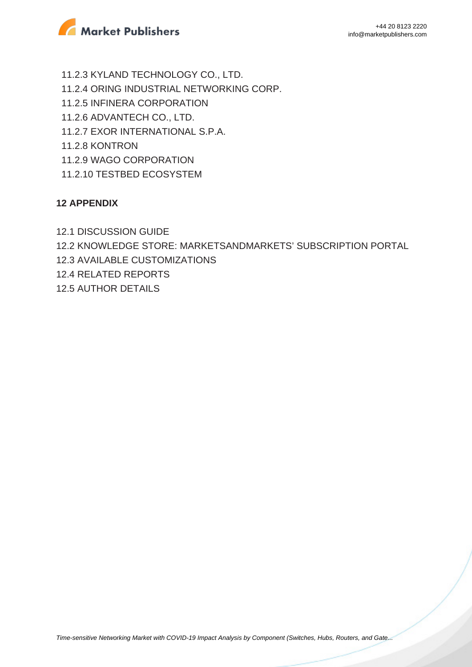

 11.2.3 KYLAND TECHNOLOGY CO., LTD. 11.2.4 ORING INDUSTRIAL NETWORKING CORP. 11.2.5 INFINERA CORPORATION 11.2.6 ADVANTECH CO., LTD. 11.2.7 EXOR INTERNATIONAL S.P.A. 11.2.8 KONTRON 11.2.9 WAGO CORPORATION 11.2.10 TESTBED ECOSYSTEM

### **12 APPENDIX**

12.1 DISCUSSION GUIDE

12.2 KNOWLEDGE STORE: MARKETSANDMARKETS' SUBSCRIPTION PORTAL

12.3 AVAILABLE CUSTOMIZATIONS

12.4 RELATED REPORTS

12.5 AUTHOR DETAILS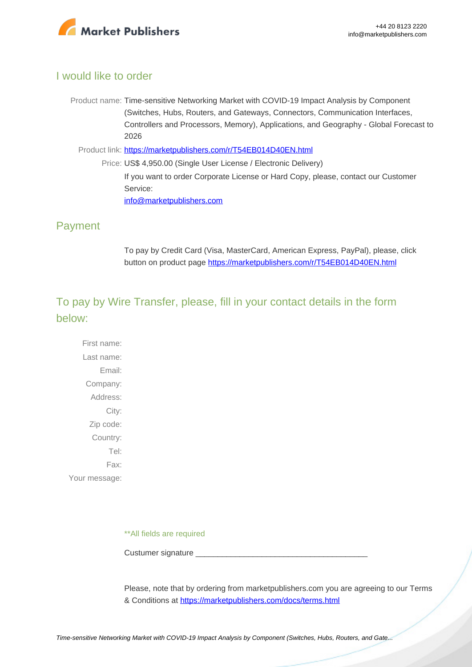

#### I would like to order

- Product name: Time-sensitive Networking Market with COVID-19 Impact Analysis by Component (Switches, Hubs, Routers, and Gateways, Connectors, Communication Interfaces, Controllers and Processors, Memory), Applications, and Geography - Global Forecast to 2026
	- Product link: [https://marketpublishers.com/r/T54EB014D40EN.html](https://marketpublishers.com/report/equipment/time-sensitive-networking-market-by-component.html)
		- Price: US\$ 4,950.00 (Single User License / Electronic Delivery) If you want to order Corporate License or Hard Copy, please, contact our Customer Service: [info@marketpublishers.com](mailto:info@marketpublishers.com)

## Payment

To pay by Credit Card (Visa, MasterCard, American Express, PayPal), please, click button on product page [https://marketpublishers.com/r/T54EB014D40EN.html](https://marketpublishers.com/report/equipment/time-sensitive-networking-market-by-component.html)

## To pay by Wire Transfer, please, fill in your contact details in the form below:

First name: Last name: Email: Company: Address: City: Zip code: Country: Tel: Fax: Your message:

\*\*All fields are required

Custumer signature \_\_\_\_\_\_\_\_\_\_\_\_\_\_\_\_\_\_\_\_\_\_\_\_\_\_\_\_\_\_\_\_\_\_\_\_\_\_\_

Please, note that by ordering from marketpublishers.com you are agreeing to our Terms & Conditions at<https://marketpublishers.com/docs/terms.html>